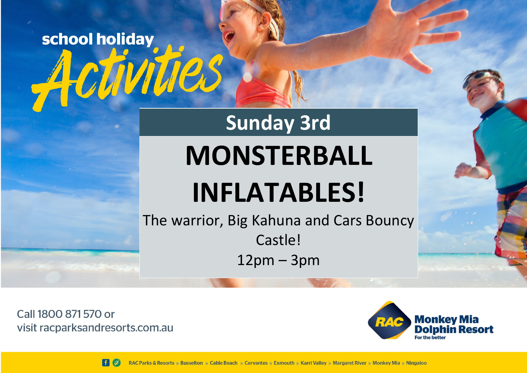

Call 1800 871 570 or visit racparksandresorts.com.au



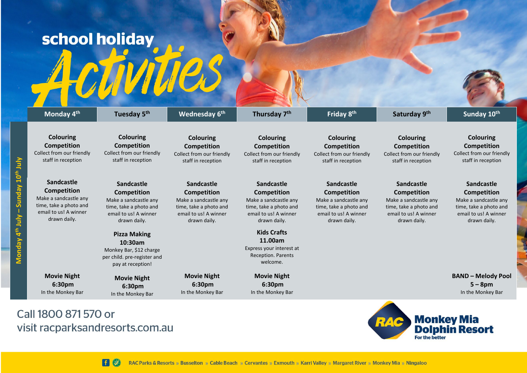## school holiday

| Monday 4 <sup>th</sup>                                                                                                | Tuesday 5 <sup>th</sup>                                                                                                             | Wednesday 6th                                                                                                                | Thursday 7 <sup>th</sup>                                                                                                     | Friday 8th                                                                                                                   | Saturday 9th                                                                                                                 | Sunday 10th                                                                                                                  |
|-----------------------------------------------------------------------------------------------------------------------|-------------------------------------------------------------------------------------------------------------------------------------|------------------------------------------------------------------------------------------------------------------------------|------------------------------------------------------------------------------------------------------------------------------|------------------------------------------------------------------------------------------------------------------------------|------------------------------------------------------------------------------------------------------------------------------|------------------------------------------------------------------------------------------------------------------------------|
| <b>Colouring</b><br>Competition<br>Collect from our friendly<br>staff in reception                                    | Colouring<br>Competition<br>Collect from our friendly<br>staff in reception                                                         | <b>Colouring</b><br>Competition<br>Collect from our friendly<br>staff in reception                                           | <b>Colouring</b><br>Competition<br>Collect from our friendly<br>staff in reception                                           | <b>Colouring</b><br>Competition<br>Collect from our friendly<br>staff in reception                                           | <b>Colouring</b><br><b>Competition</b><br>Collect from our friendly<br>staff in reception                                    | <b>Colouring</b><br><b>Competition</b><br>Collect from our friendly<br>staff in reception                                    |
| Sandcastle<br>Competition<br>Make a sandcastle any<br>time, take a photo and<br>email to us! A winner<br>drawn daily. | <b>Sandcastle</b><br><b>Competition</b><br>Make a sandcastle any<br>time, take a photo and<br>email to us! A winner<br>drawn daily. | Sandcastle<br><b>Competition</b><br>Make a sandcastle any<br>time, take a photo and<br>email to us! A winner<br>drawn daily. | Sandcastle<br><b>Competition</b><br>Make a sandcastle any<br>time, take a photo and<br>email to us! A winner<br>drawn daily. | Sandcastle<br><b>Competition</b><br>Make a sandcastle any<br>time, take a photo and<br>email to us! A winner<br>drawn daily. | Sandcastle<br><b>Competition</b><br>Make a sandcastle any<br>time, take a photo and<br>email to us! A winner<br>drawn daily. | Sandcastle<br><b>Competition</b><br>Make a sandcastle any<br>time, take a photo and<br>email to us! A winner<br>drawn daily. |
|                                                                                                                       | <b>Pizza Making</b><br>10:30am<br>Monkey Bar, \$12 charge<br>per child. pre-register and<br>pay at reception!                       |                                                                                                                              | <b>Kids Crafts</b><br>11.00am<br>Express your interest at<br><b>Reception. Parents</b><br>welcome.                           |                                                                                                                              |                                                                                                                              |                                                                                                                              |
| <b>Movie Night</b><br>6:30pm<br>In the Monkey Bar                                                                     | <b>Movie Night</b><br>6:30pm<br>In the Monkey Bar                                                                                   | <b>Movie Night</b><br>6:30pm<br>In the Monkey Bar                                                                            | <b>Movie Night</b><br>6:30pm<br>In the Monkey Bar                                                                            |                                                                                                                              |                                                                                                                              | <b>BAND - Melody Pool</b><br>$5 - 8$ pm<br>In the Monkey Bar                                                                 |